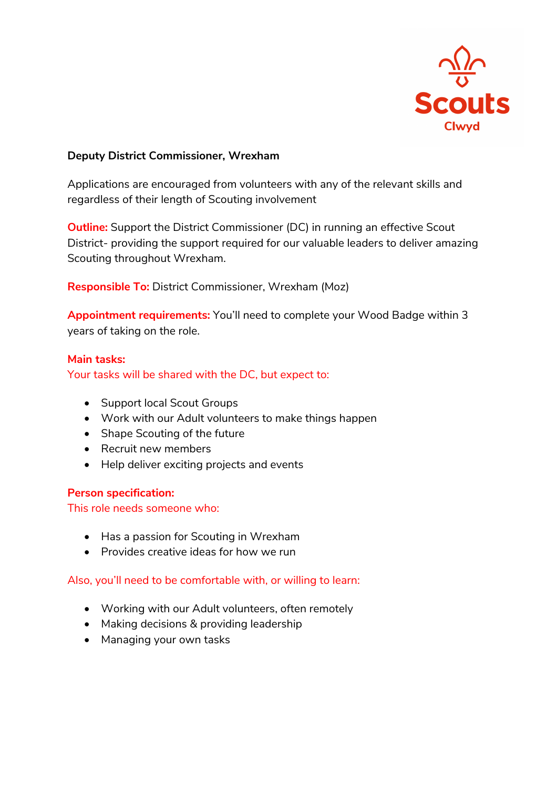

## **Deputy District Commissioner, Wrexham**

Applications are encouraged from volunteers with any of the relevant skills and regardless of their length of Scouting involvement

**Outline:** Support the District Commissioner (DC) in running an effective Scout District- providing the support required for our valuable leaders to deliver amazing Scouting throughout Wrexham.

**Responsible To:** District Commissioner, Wrexham (Moz)

**Appointment requirements:** You'll need to complete your Wood Badge within 3 years of taking on the role.

## **Main tasks:**

Your tasks will be shared with the DC, but expect to:

- Support local Scout Groups
- Work with our Adult volunteers to make things happen
- Shape Scouting of the future
- Recruit new members
- Help deliver exciting projects and events

## **Person specification:**

This role needs someone who:

- Has a passion for Scouting in Wrexham
- Provides creative ideas for how we run

Also, you'll need to be comfortable with, or willing to learn:

- Working with our Adult volunteers, often remotely
- Making decisions & providing leadership
- Managing your own tasks